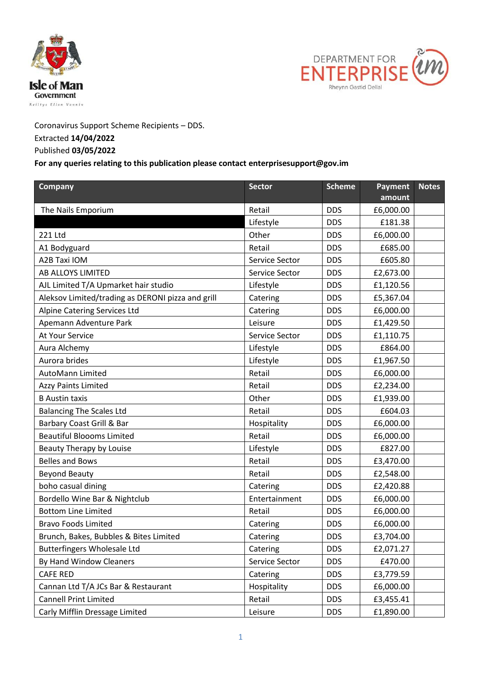



Coronavirus Support Scheme Recipients – DDS.

## Extracted **14/04/2022**

## Published **03/05/2022**

## **For any queries relating to this publication please contact enterprisesupport@gov.im**

| Company                                           | <b>Sector</b>  | <b>Scheme</b> | Payment<br>amount | <b>Notes</b> |
|---------------------------------------------------|----------------|---------------|-------------------|--------------|
| The Nails Emporium                                | Retail         | <b>DDS</b>    | £6,000.00         |              |
|                                                   | Lifestyle      | <b>DDS</b>    | £181.38           |              |
| 221 Ltd                                           | Other          | <b>DDS</b>    | £6,000.00         |              |
| A1 Bodyguard                                      | Retail         | <b>DDS</b>    | £685.00           |              |
| A2B Taxi IOM                                      | Service Sector | <b>DDS</b>    | £605.80           |              |
| AB ALLOYS LIMITED                                 | Service Sector | <b>DDS</b>    | £2,673.00         |              |
| AJL Limited T/A Upmarket hair studio              | Lifestyle      | <b>DDS</b>    | £1,120.56         |              |
| Aleksov Limited/trading as DERONI pizza and grill | Catering       | <b>DDS</b>    | £5,367.04         |              |
| Alpine Catering Services Ltd                      | Catering       | <b>DDS</b>    | £6,000.00         |              |
| Apemann Adventure Park                            | Leisure        | <b>DDS</b>    | £1,429.50         |              |
| At Your Service                                   | Service Sector | <b>DDS</b>    | £1,110.75         |              |
| Aura Alchemy                                      | Lifestyle      | <b>DDS</b>    | £864.00           |              |
| Aurora brides                                     | Lifestyle      | <b>DDS</b>    | £1,967.50         |              |
| <b>AutoMann Limited</b>                           | Retail         | <b>DDS</b>    | £6,000.00         |              |
| <b>Azzy Paints Limited</b>                        | Retail         | <b>DDS</b>    | £2,234.00         |              |
| <b>B</b> Austin taxis                             | Other          | <b>DDS</b>    | £1,939.00         |              |
| <b>Balancing The Scales Ltd</b>                   | Retail         | <b>DDS</b>    | £604.03           |              |
| Barbary Coast Grill & Bar                         | Hospitality    | <b>DDS</b>    | £6,000.00         |              |
| <b>Beautiful Bloooms Limited</b>                  | Retail         | <b>DDS</b>    | £6,000.00         |              |
| Beauty Therapy by Louise                          | Lifestyle      | <b>DDS</b>    | £827.00           |              |
| <b>Belles and Bows</b>                            | Retail         | <b>DDS</b>    | £3,470.00         |              |
| <b>Beyond Beauty</b>                              | Retail         | <b>DDS</b>    | £2,548.00         |              |
| boho casual dining                                | Catering       | <b>DDS</b>    | £2,420.88         |              |
| Bordello Wine Bar & Nightclub                     | Entertainment  | <b>DDS</b>    | £6,000.00         |              |
| <b>Bottom Line Limited</b>                        | Retail         | <b>DDS</b>    | £6,000.00         |              |
| <b>Bravo Foods Limited</b>                        | Catering       | <b>DDS</b>    | £6,000.00         |              |
| Brunch, Bakes, Bubbles & Bites Limited            | Catering       | <b>DDS</b>    | £3,704.00         |              |
| <b>Butterfingers Wholesale Ltd</b>                | Catering       | <b>DDS</b>    | £2,071.27         |              |
| By Hand Window Cleaners                           | Service Sector | <b>DDS</b>    | £470.00           |              |
| <b>CAFE RED</b>                                   | Catering       | <b>DDS</b>    | £3,779.59         |              |
| Cannan Ltd T/A JCs Bar & Restaurant               | Hospitality    | <b>DDS</b>    | £6,000.00         |              |
| <b>Cannell Print Limited</b>                      | Retail         | <b>DDS</b>    | £3,455.41         |              |
| Carly Mifflin Dressage Limited                    | Leisure        | <b>DDS</b>    | £1,890.00         |              |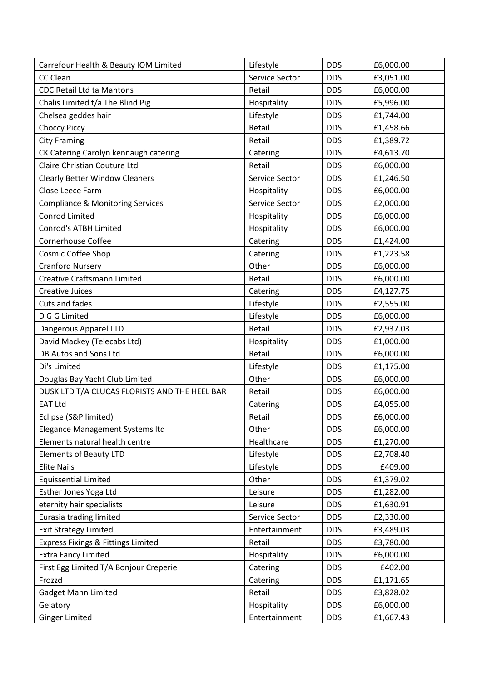| Carrefour Health & Beauty IOM Limited         | Lifestyle      | <b>DDS</b> | £6,000.00 |
|-----------------------------------------------|----------------|------------|-----------|
| CC Clean                                      | Service Sector | <b>DDS</b> | £3,051.00 |
| <b>CDC Retail Ltd ta Mantons</b>              | Retail         | <b>DDS</b> | £6,000.00 |
| Chalis Limited t/a The Blind Pig              | Hospitality    | <b>DDS</b> | £5,996.00 |
| Chelsea geddes hair                           | Lifestyle      | <b>DDS</b> | £1,744.00 |
| <b>Choccy Piccy</b>                           | Retail         | <b>DDS</b> | £1,458.66 |
| <b>City Framing</b>                           | Retail         | <b>DDS</b> | £1,389.72 |
| CK Catering Carolyn kennaugh catering         | Catering       | <b>DDS</b> | £4,613.70 |
| Claire Christian Couture Ltd                  | Retail         | <b>DDS</b> | £6,000.00 |
| <b>Clearly Better Window Cleaners</b>         | Service Sector | <b>DDS</b> | £1,246.50 |
| Close Leece Farm                              | Hospitality    | <b>DDS</b> | £6,000.00 |
| <b>Compliance &amp; Monitoring Services</b>   | Service Sector | <b>DDS</b> | £2,000.00 |
| <b>Conrod Limited</b>                         | Hospitality    | <b>DDS</b> | £6,000.00 |
| Conrod's ATBH Limited                         | Hospitality    | <b>DDS</b> | £6,000.00 |
| <b>Cornerhouse Coffee</b>                     | Catering       | <b>DDS</b> | £1,424.00 |
| Cosmic Coffee Shop                            | Catering       | <b>DDS</b> | £1,223.58 |
| <b>Cranford Nursery</b>                       | Other          | <b>DDS</b> | £6,000.00 |
| <b>Creative Craftsmann Limited</b>            | Retail         | <b>DDS</b> | £6,000.00 |
| <b>Creative Juices</b>                        | Catering       | <b>DDS</b> | £4,127.75 |
| Cuts and fades                                | Lifestyle      | <b>DDS</b> | £2,555.00 |
| D G G Limited                                 | Lifestyle      | <b>DDS</b> | £6,000.00 |
| Dangerous Apparel LTD                         | Retail         | <b>DDS</b> | £2,937.03 |
| David Mackey (Telecabs Ltd)                   | Hospitality    | <b>DDS</b> | £1,000.00 |
| DB Autos and Sons Ltd                         | Retail         | <b>DDS</b> | £6,000.00 |
| Di's Limited                                  | Lifestyle      | <b>DDS</b> | £1,175.00 |
| Douglas Bay Yacht Club Limited                | Other          | <b>DDS</b> | £6,000.00 |
| DUSK LTD T/A CLUCAS FLORISTS AND THE HEEL BAR | Retail         | <b>DDS</b> | £6,000.00 |
| <b>EAT Ltd</b>                                | Catering       | <b>DDS</b> | £4,055.00 |
| Eclipse (S&P limited)                         | Retail         | <b>DDS</b> | £6,000.00 |
| Elegance Management Systems Itd               | Other          | <b>DDS</b> | £6,000.00 |
| Elements natural health centre                | Healthcare     | <b>DDS</b> | £1,270.00 |
| <b>Elements of Beauty LTD</b>                 | Lifestyle      | <b>DDS</b> | £2,708.40 |
| <b>Elite Nails</b>                            | Lifestyle      | <b>DDS</b> | £409.00   |
| <b>Equissential Limited</b>                   | Other          | <b>DDS</b> | £1,379.02 |
| Esther Jones Yoga Ltd                         | Leisure        | <b>DDS</b> | £1,282.00 |
| eternity hair specialists                     | Leisure        | <b>DDS</b> | £1,630.91 |
| Eurasia trading limited                       | Service Sector | <b>DDS</b> | £2,330.00 |
| <b>Exit Strategy Limited</b>                  | Entertainment  | <b>DDS</b> | £3,489.03 |
| Express Fixings & Fittings Limited            | Retail         | <b>DDS</b> | £3,780.00 |
| <b>Extra Fancy Limited</b>                    | Hospitality    | <b>DDS</b> | £6,000.00 |
| First Egg Limited T/A Bonjour Creperie        | Catering       | <b>DDS</b> | £402.00   |
| Frozzd                                        | Catering       | <b>DDS</b> | £1,171.65 |
| <b>Gadget Mann Limited</b>                    | Retail         | <b>DDS</b> | £3,828.02 |
| Gelatory                                      | Hospitality    | <b>DDS</b> | £6,000.00 |
| <b>Ginger Limited</b>                         | Entertainment  | <b>DDS</b> | £1,667.43 |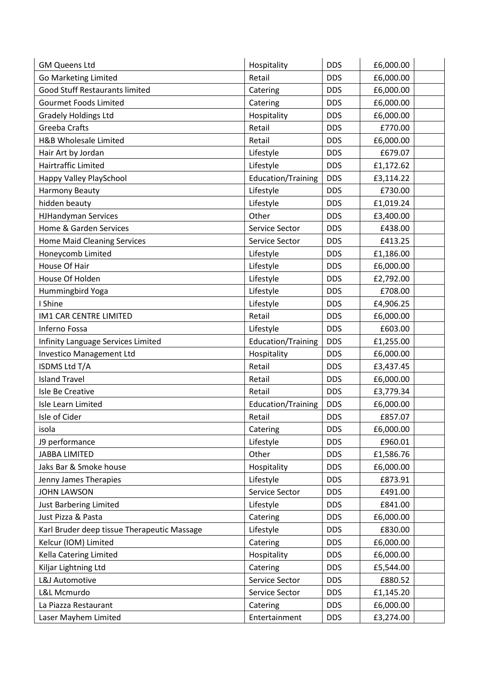| <b>GM Queens Ltd</b>                        | Hospitality               | <b>DDS</b> | £6,000.00 |  |
|---------------------------------------------|---------------------------|------------|-----------|--|
| <b>Go Marketing Limited</b>                 | Retail                    | <b>DDS</b> | £6,000.00 |  |
| <b>Good Stuff Restaurants limited</b>       | Catering                  | <b>DDS</b> | £6,000.00 |  |
| <b>Gourmet Foods Limited</b>                | Catering                  | <b>DDS</b> | £6,000.00 |  |
| <b>Gradely Holdings Ltd</b>                 | Hospitality               | <b>DDS</b> | £6,000.00 |  |
| Greeba Crafts                               | Retail                    | <b>DDS</b> | £770.00   |  |
| H&B Wholesale Limited                       | Retail                    | <b>DDS</b> | £6,000.00 |  |
| Hair Art by Jordan                          | Lifestyle                 | <b>DDS</b> | £679.07   |  |
| Hairtraffic Limited                         | Lifestyle                 | <b>DDS</b> | £1,172.62 |  |
| Happy Valley PlaySchool                     | Education/Training        | <b>DDS</b> | £3,114.22 |  |
| <b>Harmony Beauty</b>                       | Lifestyle                 | <b>DDS</b> | £730.00   |  |
| hidden beauty                               | Lifestyle                 | <b>DDS</b> | £1,019.24 |  |
| <b>HJHandyman Services</b>                  | Other                     | <b>DDS</b> | £3,400.00 |  |
| Home & Garden Services                      | Service Sector            | <b>DDS</b> | £438.00   |  |
| <b>Home Maid Cleaning Services</b>          | Service Sector            | <b>DDS</b> | £413.25   |  |
| Honeycomb Limited                           | Lifestyle                 | <b>DDS</b> | £1,186.00 |  |
| House Of Hair                               | Lifestyle                 | <b>DDS</b> | £6,000.00 |  |
| House Of Holden                             | Lifestyle                 | <b>DDS</b> | £2,792.00 |  |
| Hummingbird Yoga                            | Lifestyle                 | <b>DDS</b> | £708.00   |  |
| I Shine                                     | Lifestyle                 | <b>DDS</b> | £4,906.25 |  |
| IM1 CAR CENTRE LIMITED                      | Retail                    | <b>DDS</b> | £6,000.00 |  |
| Inferno Fossa                               | Lifestyle                 | <b>DDS</b> | £603.00   |  |
| Infinity Language Services Limited          | Education/Training        | <b>DDS</b> | £1,255.00 |  |
| <b>Investico Management Ltd</b>             | Hospitality               | <b>DDS</b> | £6,000.00 |  |
| ISDMS Ltd T/A                               | Retail                    | <b>DDS</b> | £3,437.45 |  |
| <b>Island Travel</b>                        | Retail                    | <b>DDS</b> | £6,000.00 |  |
| Isle Be Creative                            | Retail                    | <b>DDS</b> | £3,779.34 |  |
| Isle Learn Limited                          | <b>Education/Training</b> | <b>DDS</b> | £6,000.00 |  |
| Isle of Cider                               | Retail                    | <b>DDS</b> | £857.07   |  |
| isola                                       | Catering                  | <b>DDS</b> | £6,000.00 |  |
| J9 performance                              | Lifestyle                 | <b>DDS</b> | £960.01   |  |
| <b>JABBA LIMITED</b>                        | Other                     | <b>DDS</b> | £1,586.76 |  |
| Jaks Bar & Smoke house                      | Hospitality               | <b>DDS</b> | £6,000.00 |  |
| Jenny James Therapies                       | Lifestyle                 | <b>DDS</b> | £873.91   |  |
| <b>JOHN LAWSON</b>                          | Service Sector            | <b>DDS</b> | £491.00   |  |
| Just Barbering Limited                      | Lifestyle                 | <b>DDS</b> | £841.00   |  |
| Just Pizza & Pasta                          | Catering                  | <b>DDS</b> | £6,000.00 |  |
| Karl Bruder deep tissue Therapeutic Massage | Lifestyle                 | <b>DDS</b> | £830.00   |  |
| Kelcur (IOM) Limited                        | Catering                  | <b>DDS</b> | £6,000.00 |  |
| Kella Catering Limited                      | Hospitality               | <b>DDS</b> | £6,000.00 |  |
| Kiljar Lightning Ltd                        | Catering                  | <b>DDS</b> | £5,544.00 |  |
| L&J Automotive                              | Service Sector            | <b>DDS</b> | £880.52   |  |
| L&L Mcmurdo                                 | Service Sector            | <b>DDS</b> | £1,145.20 |  |
| La Piazza Restaurant                        | Catering                  | <b>DDS</b> | £6,000.00 |  |
| Laser Mayhem Limited                        | Entertainment             | <b>DDS</b> | £3,274.00 |  |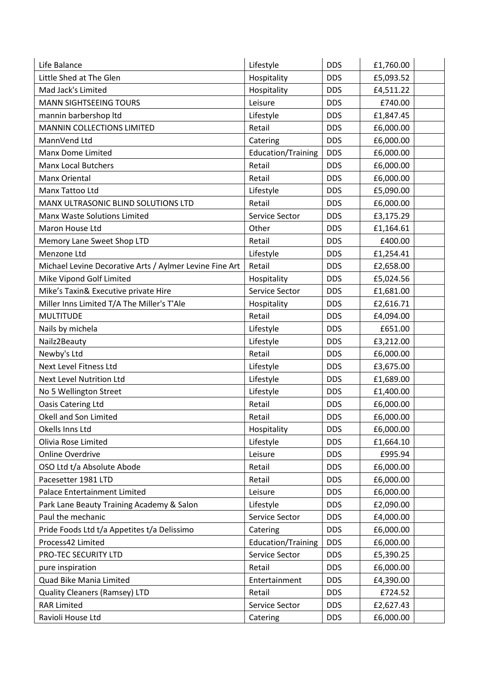| Life Balance                                            | Lifestyle                 | <b>DDS</b> | £1,760.00 |
|---------------------------------------------------------|---------------------------|------------|-----------|
| Little Shed at The Glen                                 | Hospitality               | <b>DDS</b> | £5,093.52 |
| Mad Jack's Limited                                      | Hospitality               | <b>DDS</b> | £4,511.22 |
| <b>MANN SIGHTSEEING TOURS</b>                           | Leisure                   | <b>DDS</b> | £740.00   |
| mannin barbershop Itd                                   | Lifestyle                 | <b>DDS</b> | £1,847.45 |
| <b>MANNIN COLLECTIONS LIMITED</b>                       | Retail                    | <b>DDS</b> | £6,000.00 |
| MannVend Ltd                                            | Catering                  | <b>DDS</b> | £6,000.00 |
| <b>Manx Dome Limited</b>                                | <b>Education/Training</b> | <b>DDS</b> | £6,000.00 |
| <b>Manx Local Butchers</b>                              | Retail                    | <b>DDS</b> | £6,000.00 |
| Manx Oriental                                           | Retail                    | <b>DDS</b> | £6,000.00 |
| Manx Tattoo Ltd                                         | Lifestyle                 | <b>DDS</b> | £5,090.00 |
| MANX ULTRASONIC BLIND SOLUTIONS LTD                     | Retail                    | <b>DDS</b> | £6,000.00 |
| Manx Waste Solutions Limited                            | Service Sector            | <b>DDS</b> | £3,175.29 |
| Maron House Ltd                                         | Other                     | <b>DDS</b> | £1,164.61 |
| Memory Lane Sweet Shop LTD                              | Retail                    | <b>DDS</b> | £400.00   |
| Menzone Ltd                                             | Lifestyle                 | <b>DDS</b> | £1,254.41 |
| Michael Levine Decorative Arts / Aylmer Levine Fine Art | Retail                    | <b>DDS</b> | £2,658.00 |
| Mike Vipond Golf Limited                                | Hospitality               | <b>DDS</b> | £5,024.56 |
| Mike's Taxin& Executive private Hire                    | Service Sector            | <b>DDS</b> | £1,681.00 |
| Miller Inns Limited T/A The Miller's T'Ale              | Hospitality               | <b>DDS</b> | £2,616.71 |
| <b>MULTITUDE</b>                                        | Retail                    | <b>DDS</b> | £4,094.00 |
| Nails by michela                                        | Lifestyle                 | <b>DDS</b> | £651.00   |
| Nailz2Beauty                                            | Lifestyle                 | <b>DDS</b> | £3,212.00 |
| Newby's Ltd                                             | Retail                    | <b>DDS</b> | £6,000.00 |
| Next Level Fitness Ltd                                  | Lifestyle                 | <b>DDS</b> | £3,675.00 |
| Next Level Nutrition Ltd                                | Lifestyle                 | <b>DDS</b> | £1,689.00 |
| No 5 Wellington Street                                  | Lifestyle                 | <b>DDS</b> | £1,400.00 |
| Oasis Catering Ltd                                      | Retail                    | <b>DDS</b> | £6,000.00 |
| Okell and Son Limited                                   | Retail                    | <b>DDS</b> | £6,000.00 |
| Okells Inns Ltd                                         | Hospitality               | <b>DDS</b> | £6,000.00 |
| Olivia Rose Limited                                     | Lifestyle                 | <b>DDS</b> | £1,664.10 |
| <b>Online Overdrive</b>                                 | Leisure                   | <b>DDS</b> | £995.94   |
| OSO Ltd t/a Absolute Abode                              | Retail                    | <b>DDS</b> | £6,000.00 |
| Pacesetter 1981 LTD                                     | Retail                    | <b>DDS</b> | £6,000.00 |
| Palace Entertainment Limited                            | Leisure                   | <b>DDS</b> | £6,000.00 |
| Park Lane Beauty Training Academy & Salon               | Lifestyle                 | <b>DDS</b> | £2,090.00 |
| Paul the mechanic                                       | Service Sector            | <b>DDS</b> | £4,000.00 |
| Pride Foods Ltd t/a Appetites t/a Delissimo             | Catering                  | <b>DDS</b> | £6,000.00 |
| Process42 Limited                                       | <b>Education/Training</b> | <b>DDS</b> | £6,000.00 |
| PRO-TEC SECURITY LTD                                    | Service Sector            | <b>DDS</b> | £5,390.25 |
| pure inspiration                                        | Retail                    | <b>DDS</b> | £6,000.00 |
| Quad Bike Mania Limited                                 | Entertainment             | <b>DDS</b> | £4,390.00 |
| Quality Cleaners (Ramsey) LTD                           | Retail                    | <b>DDS</b> | £724.52   |
| <b>RAR Limited</b>                                      | Service Sector            | <b>DDS</b> | £2,627.43 |
| Ravioli House Ltd                                       | Catering                  | <b>DDS</b> | £6,000.00 |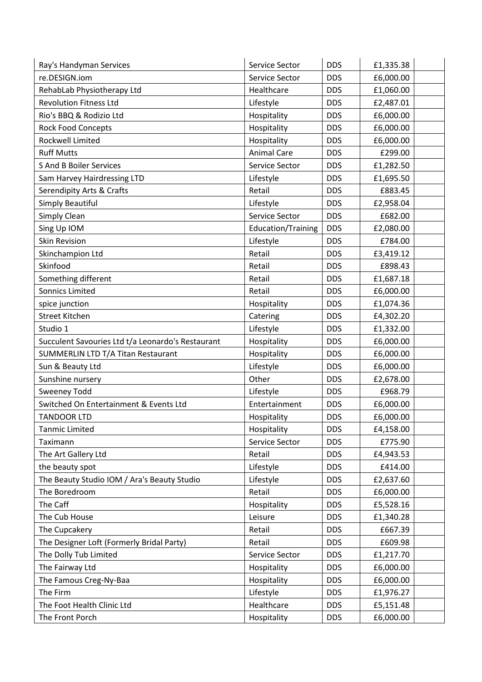| Ray's Handyman Services                           | Service Sector            | <b>DDS</b> | £1,335.38 |
|---------------------------------------------------|---------------------------|------------|-----------|
| re.DESIGN.iom                                     | Service Sector            | <b>DDS</b> | £6,000.00 |
| RehabLab Physiotherapy Ltd                        | Healthcare                | <b>DDS</b> | £1,060.00 |
| <b>Revolution Fitness Ltd</b>                     | Lifestyle                 | <b>DDS</b> | £2,487.01 |
| Rio's BBQ & Rodizio Ltd                           | Hospitality               | <b>DDS</b> | £6,000.00 |
| <b>Rock Food Concepts</b>                         | Hospitality               | <b>DDS</b> | £6,000.00 |
| <b>Rockwell Limited</b>                           | Hospitality               | <b>DDS</b> | £6,000.00 |
| <b>Ruff Mutts</b>                                 | <b>Animal Care</b>        | <b>DDS</b> | £299.00   |
| <b>S And B Boiler Services</b>                    | Service Sector            | <b>DDS</b> | £1,282.50 |
| Sam Harvey Hairdressing LTD                       | Lifestyle                 | <b>DDS</b> | £1,695.50 |
| Serendipity Arts & Crafts                         | Retail                    | <b>DDS</b> | £883.45   |
| Simply Beautiful                                  | Lifestyle                 | <b>DDS</b> | £2,958.04 |
| Simply Clean                                      | Service Sector            | <b>DDS</b> | £682.00   |
| Sing Up IOM                                       | <b>Education/Training</b> | <b>DDS</b> | £2,080.00 |
| <b>Skin Revision</b>                              | Lifestyle                 | <b>DDS</b> | £784.00   |
| Skinchampion Ltd                                  | Retail                    | <b>DDS</b> | £3,419.12 |
| Skinfood                                          | Retail                    | <b>DDS</b> | £898.43   |
| Something different                               | Retail                    | <b>DDS</b> | £1,687.18 |
| <b>Sonnics Limited</b>                            | Retail                    | <b>DDS</b> | £6,000.00 |
| spice junction                                    | Hospitality               | <b>DDS</b> | £1,074.36 |
| <b>Street Kitchen</b>                             | Catering                  | <b>DDS</b> | £4,302.20 |
| Studio 1                                          | Lifestyle                 | <b>DDS</b> | £1,332.00 |
| Succulent Savouries Ltd t/a Leonardo's Restaurant | Hospitality               | <b>DDS</b> | £6,000.00 |
| SUMMERLIN LTD T/A Titan Restaurant                | Hospitality               | <b>DDS</b> | £6,000.00 |
| Sun & Beauty Ltd                                  | Lifestyle                 | <b>DDS</b> | £6,000.00 |
| Sunshine nursery                                  | Other                     | <b>DDS</b> | £2,678.00 |
| <b>Sweeney Todd</b>                               | Lifestyle                 | <b>DDS</b> | £968.79   |
| Switched On Entertainment & Events Ltd            | Entertainment             | <b>DDS</b> | £6,000.00 |
| <b>TANDOOR LTD</b>                                | Hospitality               | <b>DDS</b> | £6,000.00 |
| <b>Tanmic Limited</b>                             | Hospitality               | <b>DDS</b> | £4,158.00 |
| Taximann                                          | Service Sector            | <b>DDS</b> | £775.90   |
| The Art Gallery Ltd                               | Retail                    | <b>DDS</b> | £4,943.53 |
| the beauty spot                                   | Lifestyle                 | <b>DDS</b> | £414.00   |
| The Beauty Studio IOM / Ara's Beauty Studio       | Lifestyle                 | <b>DDS</b> | £2,637.60 |
| The Boredroom                                     | Retail                    | <b>DDS</b> | £6,000.00 |
| The Caff                                          | Hospitality               | <b>DDS</b> | £5,528.16 |
| The Cub House                                     | Leisure                   | <b>DDS</b> | £1,340.28 |
| The Cupcakery                                     | Retail                    | <b>DDS</b> | £667.39   |
| The Designer Loft (Formerly Bridal Party)         | Retail                    | <b>DDS</b> | £609.98   |
| The Dolly Tub Limited                             | Service Sector            | <b>DDS</b> | £1,217.70 |
| The Fairway Ltd                                   | Hospitality               | <b>DDS</b> | £6,000.00 |
| The Famous Creg-Ny-Baa                            | Hospitality               | <b>DDS</b> | £6,000.00 |
| The Firm                                          | Lifestyle                 | <b>DDS</b> | £1,976.27 |
| The Foot Health Clinic Ltd                        | Healthcare                | <b>DDS</b> | £5,151.48 |
| The Front Porch                                   | Hospitality               | <b>DDS</b> | £6,000.00 |